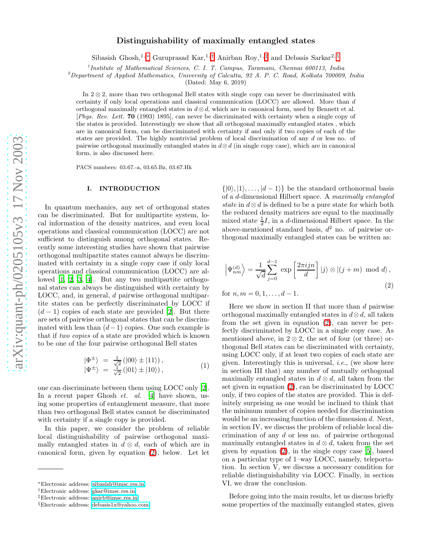# Distinguishability of maximally entangled states

Sibasish Ghosh,<sup>1,\*</sup> Guruprasad Kar,<sup>1,[†](#page-0-1)</sup> Anirban Roy,<sup>1,[‡](#page-0-2)</sup> and Debasis Sarkar<sup>2, [§](#page-0-3)</sup>

1 *Institute of Mathematical Sciences, C. I. T. Campus, Taramani, Chennai 600113, India*

<sup>2</sup>*Department of Applied Mathematics, University of Calcutta, 92 A. P. C. Road, Kolkata 700009, India*

(Dated: May 6, 2019)

In 2 ⊗ 2, more than two orthogonal Bell states with single copy can never be discriminated with certainty if only local operations and classical communication (LOCC) are allowed. More than d orthogonal maximally entangled states in  $d \otimes d$ , which are in canonical form, used by Bennett et al. [*Phys. Rev. Lett.* 70 (1993) 1895], can never be discriminated with certainty when a single copy of the states is provided. Interestingly we show that all orthogonal maximally entangled states , which are in canonical form, can be discriminated with certainty if and only if two copies of each of the states are provided. The highly nontrivial problem of local discrimination of any d or less no. of pairwise orthogonal maximally entangled states in  $d \otimes d$  (in single copy case), which are in canonical form, is also discussed here.

PACS numbers: 03.67.-a, 03.65.Bz, 03.67.Hk

#### I. INTRODUCTION

In quantum mechanics, any set of orthogonal states can be discriminated. But for multipartite system, local information of the density matrices, and even local operations and classical communication (LOCC) are not sufficient to distinguish among orthogonal states. Recently some interesting studies have shown that pairwise orthogonal multipartite states cannot always be discriminated with certainty in a single copy case if only local operations and classical communication (LOCC) are allowed [\[1,](#page-8-0) [2,](#page-8-1) [3,](#page-8-2) [4](#page-8-3)]. But any two multipartite orthogonal states can always be distinguished with certainty by LOCC, and, in general, d pairwise orthogonal multipartite states can be perfectly discriminated by LOCC if  $(d-1)$  copies of each state are provided [\[2\]](#page-8-1). But there are sets of pairwise orthogonal states that can be discriminated with less than  $(d-1)$  copies. One such example is that if two copies of a state are provided which is known to be one of the four pairwise orthogonal Bell states

$$
\begin{array}{rcl}\n|\Phi^{\pm}\rangle &=& \frac{1}{\sqrt{2}} \left( |00\rangle \pm |11\rangle \right), \\
|\Psi^{\pm}\rangle &=& \frac{1}{\sqrt{2}} \left( |01\rangle \pm |10\rangle \right),\n\end{array}\n\tag{1}
$$

one can discriminate between them using LOCC only [\[2\]](#page-8-1). In a recent paper Ghosh *et. al.* [\[4](#page-8-3)] have shown, using some properties of entanglement measure, that more than two orthogonal Bell states cannot be discriminated with certainty if a single copy is provided.

In this paper, we consider the problem of reliable local distinguishability of pairwise orthogonal maximally entangled states in  $d \otimes d$ , each of which are in canonical form, given by equation [\(2\)](#page-0-4), below. Let let

 $\{|0\rangle, |1\rangle, \ldots, |d-1\rangle\}$  be the standard orthonormal basis of a d-dimensional Hilbert space. A maximally entangled state in  $d \otimes d$  is defined to be a pure state for which both the reduced density matrices are equal to the maximally mixed state  $\frac{1}{d}I$ , in a d-dimensional Hilbert space. In the above-mentioned standard basis,  $d^2$  no. of pairwise orthogonal maximally entangled states can be written as:

<span id="page-0-4"></span>
$$
\left|\Psi_{nm}^{(d)}\right\rangle = \frac{1}{\sqrt{d}} \sum_{j=0}^{d-1} \exp\left[\frac{2\pi i j n}{d}\right] |j\rangle \otimes |(j+m) \mod d\rangle,
$$
\n(2)

for  $n, m = 0, 1, \ldots, d - 1$ .

Here we show in section II that more than d pairwise orthogonal maximally entangled states in  $d \otimes d$ , all taken from the set given in equation [\(2\)](#page-0-4), can never be perfectly discriminated by LOCC in a single copy case. As mentioned above, in  $2 \otimes 2$ , the set of four (or three) orthogonal Bell states can be discriminated with certainty, using LOCC only, if at least two copies of each state are given. Interestingly this is universal, i.e., (we show here in section III that) any number of mutually orthogonal maximally entangled states in  $d \otimes d$ , all taken from the set given in equation [\(2\)](#page-0-4), can be discriminated by LOCC only, if two copies of the states are provided. This is definitely surprising as one would be inclined to think that the minimum number of copies needed for discrimination would be an increasing function of the dimension d. Next, in section IV, we discuss the problem of reliable local discrimination of any d or less no. of pairwise orthogonal maximally entangled states in  $d \otimes d$ , taken from the set given by equation  $(2)$ , in the single copy case  $[5]$ , based on a particular type of 1–way LOCC, namely, teleportation. In section V, we discuss a necessary condition for reliable distinguishability via LOCC. Finally, in section VI, we draw the conclusion.

Before going into the main results, let us discuss briefly some properties of the maximally entangled states, given

<span id="page-0-0"></span><sup>∗</sup>Electronic address: [sibasish@imsc.res.in](mailto:sibasish@imsc.res.in)

<span id="page-0-2"></span><span id="page-0-1"></span><sup>†</sup>Electronic address: [gkar@imsc.res.in](mailto:gkar@imsc.res.in)

<sup>‡</sup>Electronic address: [anirb@imsc.res.in](mailto:anirb@imsc.res.in)

<span id="page-0-3"></span><sup>§</sup>Electronic address: [debasis1x@yahoo.com](mailto:debasis1x@yahoo.com)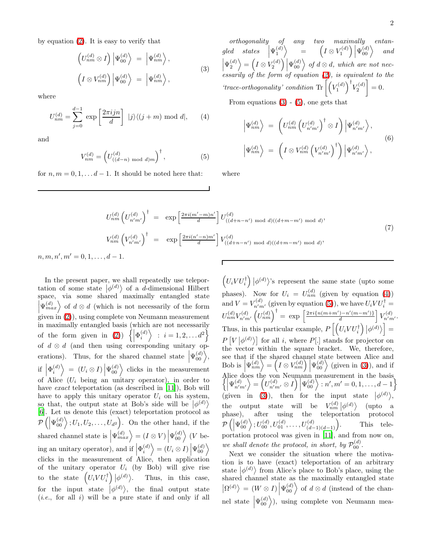<span id="page-1-0"></span>by equation [\(2\)](#page-0-4). It is easy to verify that

$$
\left(U_{nm}^{(d)}\otimes I\right)\left|\Psi_{00}^{(d)}\right\rangle = \left|\Psi_{nm}^{(d)}\right\rangle, \left(I\otimes V_{nm}^{(d)}\right)\left|\Psi_{00}^{(d)}\right\rangle = \left|\Psi_{nm}^{(d)}\right\rangle,
$$
\n(3)

<span id="page-1-2"></span>where

$$
U_{nm}^{(d)} = \sum_{j=0}^{d-1} \exp\left[\frac{2\pi i j n}{d}\right] |j\rangle \langle (j+m) \bmod d|, \qquad (4)
$$

<span id="page-1-1"></span>and

$$
V_{nm}^{(d)} = \left( U_{((d-n) \text{ mod } d)m}^{(d)} \right)^{\dagger}, \tag{5}
$$

for  $n, m = 0, 1, \ldots d - 1$ . It should be noted here that:

orthogonality of any two maximally entangled states  $\left|\Psi^{\left(d\right)}_{1}\right\rangle$  $\left|\Psi_2^{(d)}\right\rangle=\left(I\otimes V_2^{(d)}\right)\left|\Psi_{00}^{(d)}\right\rangle\ of\ d\otimes d,\ which\ are\ not\ nec-$ =  $\left(I\otimes V^{(d)}_1\right)\left|\Psi^{(d)}_{00}\right\rangle$ and  $\begin{pmatrix} 2 & 2 & 1 \\ 1 & 2 & 2 \\ 2 & 1 & 0 \end{pmatrix}$  is equivalent to the 'trace-orthogonality' condition  $\text{Tr}\left[\left(V_1^{(d)}\right)^{\dagger}V_2^{(d)}\right]$  $\Big] = 0.$ From equations  $(3)$  -  $(5)$ , one gets that

$$
\left| \Psi_{nm}^{(d)} \right\rangle = \left( U_{nm}^{(d)} \left( U_{n'm'}^{(d)} \right)^{\dagger} \otimes I \right) \left| \Psi_{n'm'}^{(d)} \right\rangle, \n\left| \Psi_{nm}^{(d)} \right\rangle = \left( I \otimes V_{nm}^{(d)} \left( V_{n'm'}^{(d)} \right)^{\dagger} \right) \left| \Psi_{n'm'}^{(d)} \right\rangle,
$$
\n(6)

where

$$
U_{nm}^{(d)} \left(U_{n'm'}^{(d)}\right)^{\dagger} = \exp\left[\frac{2\pi i (m'-m)n'}{d}\right] U_{((d+n-n') \mod d)((d+m-m') \mod d)},
$$
  
\n
$$
V_{nm}^{(d)} \left(V_{n'm'}^{(d)}\right)^{\dagger} = \exp\left[\frac{2\pi i (n'-n)m'}{d}\right] V_{((d+n-n') \mod d)((d+m-m') \mod d)},
$$
  
\n
$$
n, m, n', m' = 0, 1, ..., d-1.
$$
\n
$$
\boxed{\left(\frac{2\pi i (n'-m)m'}{d}\right) \left(\frac{2\pi i}{d}\right)^{d} \left(\frac{2\pi i}{d}\right)^{d} \left(\frac{2\pi i}{d}\right)^{d} \left(\frac{2\pi i}{d}\right)^{d} \left(\frac{2\pi i}{d}\right)^{d} \left(\frac{2\pi i}{d}\right)^{d} \left(\frac{2\pi i}{d}\right)^{d} \left(\frac{2\pi i}{d}\right)^{d} \left(\frac{2\pi i}{d}\right)^{d} \left(\frac{2\pi i}{d}\right)^{d} \left(\frac{2\pi i}{d}\right)^{d} \left(\frac{2\pi i}{d}\right)^{d} \left(\frac{2\pi i}{d}\right)^{d} \left(\frac{2\pi i}{d}\right)^{d} \left(\frac{2\pi i}{d}\right)^{d} \left(\frac{2\pi i}{d}\right)^{d} \left(\frac{2\pi i}{d}\right)^{d} \left(\frac{2\pi i}{d}\right)^{d} \left(\frac{2\pi i}{d}\right)^{d} \left(\frac{2\pi i}{d}\right)^{d} \left(\frac{2\pi i}{d}\right)^{d} \left(\frac{2\pi i}{d}\right)^{d} \left(\frac{2\pi i}{d}\right)^{d} \left(\frac{2\pi i}{d}\right)^{d} \left(\frac{2\pi i}{d}\right)^{d} \left(\frac{2\pi i}{d}\right)^{d} \left(\frac{2\pi i}{d}\right)^{d} \left(\frac{2\pi i}{d}\right)^{d} \left(\frac{2\pi i}{d}\right)^{d} \left(\frac{2\pi i}{d}\right)^{d} \left(\frac{2\pi i}{d}\right)^{d} \left(\frac{2\pi i}{d}\right)^{d} \left(\frac{
$$

In the present paper, we shall repeatedly use teleportation of some state  $|\phi^{(d)}\rangle$  of a *d*-dimensional Hilbert space, via some shared maximally entangled state  $|\Psi_{max}^{(d)}\rangle$  of  $d \otimes d$  (which is not necessarily of the form  $\lim_{z \to z}$  [\(2\)](#page-0-4), using complete von Neumann measurement in maximally entangled basis (which are not necessarily of the form given in [\(2\)](#page-0-4))  $\left\{ \left| \Phi_i^{(d)} \right\rangle : i = 1, 2, \ldots d^2 \right\}$ of  $d \otimes d$  (and then using corresponding unitary operations). Thus, for the shared channel state  $|\Psi_{00}^{(d)}\rangle$ , if  $\left|\Phi_i^{(d)}\right\rangle\ =\ (U_i\otimes I)\left|\Psi_{00}^{(d)}\right\rangle$  clicks in the measurement of Alice  $(U_i \neq 0)$  with  $(U_i \neq 0)$  of Alice  $(U_i \neq 0)$ have *exact* teleportation (as described in [\[11\]](#page-8-5)), Bob will have to apply this unitary operator  $U_i$  on his system, so that, the output state at Bob's side will be  $|\phi^{(d)}\rangle$ [\[6\]](#page-8-6). Let us denote this (exact) teleportation protocol as  $\mathcal{P}\left(\left|\Psi_{00}^{(d)}\right.\right);U_1,U_2,\ldots,U_{d^2}\right)$ . On the other hand, if the  $\overline{\phantom{a}}$ shared channel state is  $\left|\Psi_{max}^{(d)}\right\rangle = (I \otimes V) \left|\Psi_{00}^{(d)}\right\rangle$  (*V* being an unitary operator), and if  $\left|\Phi_i^{(d)}\right\rangle = (U_i \otimes I) \left|\Psi_{00}^{(d)}\right\rangle$ clicks in the measurement of Alice, then application of the unitary operator  $U_i$  (by Bob) will give rise to the state  $\left(U_i V U_i^{\dagger}\right) \left|\phi^{(d)}\right\rangle$ . Thus, in this case, for the input state  $|\phi^{(d)}\rangle$ , the final output state  $(i.e., for all i) will be a pure state if and only if all$ 

 $\left(U_i V U_i^{\dagger}\right) \left|\phi^{(d)}\right\rangle$ 's represent the same state (upto some phases). Now for  $U_i = U_{nm}^{(d)}$  (given by equation [\(4\)](#page-1-2)) and  $V = V_{n'm'}^{(d)}$  (given by equation [\(5\)](#page-1-1)), we have  $U_i V U_i^{\dagger} =$  $U_{nm}^{(d)}V_{n'm'}^{(d)}\left(U_{nm}^{(d)}\right)^{\dagger} = \ \exp\ \left[ \frac{2\pi i \{n(m+m')-n'(m-m')\}}{d} \right] V_{n'm'}^{(d)}.$ Thus, in this particular example,  $P\left[\left(U_i V U_i^{\dagger}\right) \big| \phi^{(d)}\right] =$  $P[V|\phi^{(d)}\rangle]$  for all i, where  $P[.]$  stands for projector on the vector within the square bracket. We, therefore, see that if the shared channel state between Alice and Bob is  $\left|\Psi_{nm}^{(d)}\right\rangle = \left(I \otimes V_{nm}^{(d)}\right)\left|\Psi_{00}^{(d)}\right\rangle$  (given in [\(3\)](#page-1-0)), and if Alice does the von Neumann measurement in the basis  $\left\{\left|\Psi_{n'm'}^{(d)}\right\rangle=\left(U_{n'm'}^{(d)}\otimes I\right)\left|\Psi_{00}^{(d)}\right\rangle:n',m'=0,1,\ldots,d-1\right\}$ (given in [\(3\)](#page-1-0)), then for the input state  $|\phi^{(d)}\rangle$ , the output state will be  $V_{nm}^{(d)}|\phi^{(d)}\rangle$  (upto a phase), after using the teleportation protocol  $\mathcal{P}\left(\left|\Psi_{00}^{(d)}\right.\rangle;U_{00}^{(d)}, U_{01}^{(d)}, \ldots, U_{(d-1)(d-1)}^{(d)}\right)$ . This teleportation protocol was given in [\[11](#page-8-5)], and from now on, we shall denote the protocol, in short, by  $\mathcal{P}_{00}^{(d)}$ .

Next we consider the situation where the motivation is to have (exact) teleportation of an arbitrary state  $|\phi^{(d)}\rangle$  from Alice's place to Bob's place, using the shared channel state as the maximally entangled state  $\left|\Omega^{(d)}\right\rangle = (W \otimes I) \left|\Psi_{00}^{(d)}\right\rangle$  of  $d \otimes d$  (instead of the channel state  $|\Psi_{00}^{(d)}\rangle$ ), using complete von Neumann mea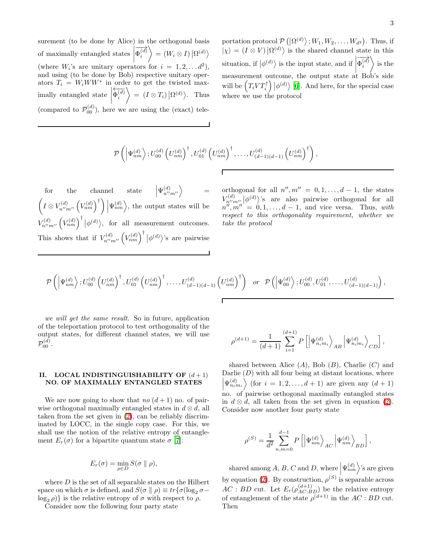surement (to be done by Alice) in the orthogonal basis of maximally entangled states  $\Big|$ (where  $W_i$ 's are unitary operators for  $i = 1, 2, \ldots, d^2$ ),  $\overrightarrow{\Phi_i^{(d)}}$  $\bigg\rangle = (W_i \otimes I) \, \big| \Omega^{(d)} \big\rangle$ and using (to be done by Bob) respective unitary operators  $T_i = W_i W W^*$  in order to get the twisted maximally entangled state  $\left| \begin{array}{c} 1 \end{array} \right|$  $\overleftarrow{\Phi_i^{(d)}}$  $\Big\rangle = (I \otimes T_i) \big| \Omega^{(d)} \rangle$ . Thus (compared to  $\mathcal{P}_{00}^{(d)}$ ), here we are using the (exact) tele-

portation protocol  $\mathcal{P}(\left|\Omega^{(d)}\right\rangle;W_1,W_2,\ldots,W_{d^2})$ . Thus, if  $|\chi\rangle = (I \otimes V) |\Omega^{(d)}\rangle$  is the shared channel state in this situation, if  $|{\phi}^{(d)}\rangle$  is the input state, and if  $|$ measurement outcome, the output state at Bob's side  $\overrightarrow{\Phi_i^{(d)}}$  $\setminus$ is the will be  $(T_i V T_i^{\dagger}) \vert \phi^{(d)} \rangle$  [\[6\]](#page-8-6). And here, for the special case where we use the protocol

$$
\mathcal{P}\left(\left|\Psi_{nm}^{(d)}\right.\rangle;U_{00}^{(d)}\left(U_{nm}^{(d)}\right)^{\dagger},U_{01}^{(d)}\left(U_{nm}^{(d)}\right)^{\dagger},\ldots,U_{(d-1)(d-1)}^{(d)}\left(U_{nm}^{(d)}\right)^{\dagger}\right),\right.
$$

for the channel state  $\left|\Psi_{n'm''}^{(d)}\right\rangle$  =  $\left(I\otimes V_{n''m''}^{(d)}\left(V_{nm}^{(d)}\right)^{\dagger}\right)\Big|\Psi_{nm}^{(d)}\Big\rangle$ , the output states will be  $V_{n''m''}^{(d)}\left(V_{nm}^{(d)}\right)^{\dagger}|\phi^{(d)}\rangle$ , for all measurement outcomes. This shows that if  $V_{n''m''}^{(d)}\left(V_{nm}^{(d)}\right)^{\dagger}|\phi^{(d)}\rangle$ 's are pairwise

orthogonal for all  $n''$ ,  $m'' = 0, 1, \ldots, d - 1$ , the states  $V_{n'm''}^{(d)} |\phi^{(d)}\rangle$ 's are also pairwise orthogonal for all  $n''$ ,  $m'' = 0, 1, \ldots, d - 1$ , and vice versa. Thus, with respect to this orthogonality requirement, whether we take the protocol

$$
\mathcal{P}\left(\left|\Psi_{nm}^{(d)}\right\rangle;U_{00}^{(d)}\left(U_{nm}^{(d)}\right)^{\dagger},U_{01}^{(d)}\left(U_{nm}^{(d)}\right)^{\dagger},\ldots,U_{(d-1)(d-1)}^{(d)}\left(U_{nm}^{(d)}\right)^{\dagger}\right) \text{ or } \mathcal{P}\left(\left|\Psi_{00}^{(d)}\right\rangle;U_{00}^{(d)},U_{01}^{(d)},\ldots,U_{(d-1)(d-1)}^{(d)}\right),
$$

we will get the same result. So in future, application of the teleportation protocol to test orthogonality of the output states, for different channel states, we will use  $\mathcal{P}^{(d)}_{00}.$ 

#### II. LOCAL INDISTINGUISHABILITY OF  $(d+1)$ NO. OF MAXIMALLY ENTANGLED STATES

We are now going to show that no  $(d+1)$  no. of pairwise orthogonal maximally entangled states in  $d \otimes d$ , all taken from the set given in [\(2\)](#page-0-4), can be reliably discriminated by LOCC, in the single copy case. For this, we shall use the notion of the relative entropy of entanglement  $E_r(\sigma)$  for a bipartite quantum state  $\sigma$  [\[7](#page-8-7)]:

$$
E_r(\sigma) = \min_{\rho \in D} S(\sigma \parallel \rho),
$$

where  $D$  is the set of all separable states on the Hilbert space on which  $\sigma$  is defined, and  $S(\sigma || \rho) \equiv tr{\sigma(\log_2 \sigma - \rho)}$  $\log_2 \rho$ } is the relative entropy of  $\sigma$  with respect to  $\rho$ .

Consider now the following four party state

$$
\rho^{(d+1)} = \frac{1}{(d+1)} \sum_{i=1}^{(d+1)} P\left[ \left| \Psi_{n_i m_i}^{(d)} \right\rangle_{AB} \left| \Psi_{n_i m_i}^{(d)} \right\rangle_{CD} \right],
$$

shared between Alice  $(A)$ , Bob  $(B)$ , Charlie  $(C)$  and Darlie  $(D)$  with all four being at distant locations, where  $\left|\Psi_{n,m_i}^{(d)}\right\rangle$  (for  $i=1,2,\ldots,d+1$ ) are given any  $(d+1)$ no. of pairwise orthogonal maximally entangled states in  $d \otimes d$ , all taken from the set given in equation [\(2\)](#page-0-4). Consider now another four party state

$$
\rho^{(S)} = \frac{1}{d^2} \sum_{n,m=0}^{d-1} P\left[\left|\Psi_{nm}^{(d)}\right\rangle_{AC}\left|\Psi_{nm}^{(d)}\right\rangle_{BD}\right],
$$

shared among A, B, C and D, where  $|\Psi_{nm}^{(d)}\rangle$ 's are given by equation [\(2\)](#page-0-4). By construction,  $\rho^{(S)}$  is separable across  $AC : BD$  cut. Let  $E_r(\rho_{AC:BD}^{(d+1)})$  be the relative entropy of entanglement of the state  $\rho^{(d+1)}$  in the  $AC:BD$  cut. Then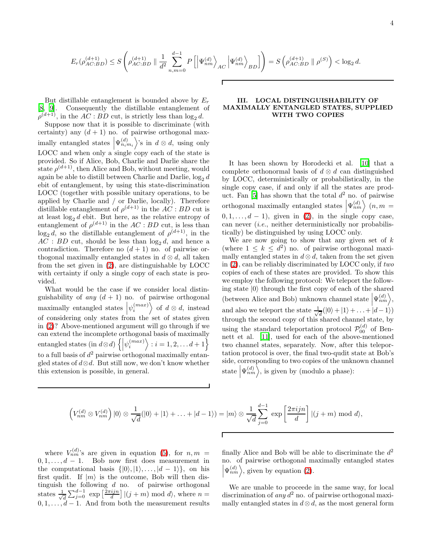$$
E_r(\rho_{AC:BD}^{(d+1)}) \le S\left(\rho_{AC:BD}^{(d+1)} \parallel \frac{1}{d^2} \sum_{n,m=0}^{d-1} P\left[\left|\Psi_{nm}^{(d)}\right\rangle_{AC}\left|\Psi_{nm}^{(d)}\right\rangle_{BD}\right]\right) = S\left(\rho_{AC:BD}^{(d+1)} \parallel \rho^{(S)}\right) < \log_2 d.
$$

But distillable entanglement is bounded above by  $E_r$ [\[8,](#page-8-8) [9](#page-8-9)]. Consequently the distillable entanglement of  $\rho^{(d+1)}$ , in the  $AC : BD$  cut, is strictly less than  $\log_2 d$ .

Suppose now that it is possible to discriminate (with certainty) any  $(d + 1)$  no. of pairwise orthogonal maximally entangled states  $\left|\Psi_{n_i m_i}^{(d)}\right>$ 's in  $d \otimes d$ , using only LOCC and when only a single copy each of the state is provided. So if Alice, Bob, Charlie and Darlie share the state  $\rho^{(d+1)}$ , then Alice and Bob, without meeting, would again be able to distill between Charlie and Darlie,  $\log_2 d$ ebit of entanglement, by using this state-discrimination LOCC (together with possible unitary operations, to be applied by Charlie and / or Darlie, locally). Therefore distillable entanglement of  $\rho^{(d+1)}$  in the  $AC : BD$  cut is at least  $\log_2 d$  ebit. But here, as the relative entropy of entanglement of  $\rho^{(d+1)}$  in the  $AC : BD$  cut, is less than  $log_2 d$ , so the distillable entanglement of  $\rho^{(d+1)}$ , in the  $AC : BD$  cut, should be less than  $log_2 d$ , and hence a contradiction. Therefore no  $(d+1)$  no. of pairwise orthogonal maximally entangled states in  $d \otimes d$ , all taken from the set given in [\(2\)](#page-0-4), are distinguishable by LOCC with certainty if only a single copy of each state is provided.

What would be the case if we consider local distinguishability of any  $(d + 1)$  no. of pairwise orthogonal maximally entangled states  $\left|\psi_i^{(max)}\right\rangle$  of  $d \otimes d$ , instead of considering only states from the set of states given in [\(2\)](#page-0-4)? Above-mentioned argument will go through if we can extend the incomplete orthogonal basis of maximally entangled states (in  $d \otimes d$ )  $\left\{ \left| \psi_i^{(max)} \right\rangle : i = 1, 2, \dots, d+1 \right\}$ to a full basis of  $d^2$  pairwise orthogonal maximally entangled states of  $d \otimes d$ . But still now, we don't know whether this extension is possible, in general.

### III. LOCAL DISTINGUISHABILITY OF MAXIMALLY ENTANGLED STATES, SUPPLIED WITH TWO COPIES

It has been shown by Horodecki et al. [\[10](#page-8-10)] that a complete orthonormal basis of  $d \otimes d$  can distinguished by LOCC, deterministically or probabilistically, in the single copy case, if and only if all the states are prod-uct. Fan [\[5](#page-8-4)] has shown that the total  $d^2$  no. of pairwise orthogonal maximally entangled states  $|\Psi_{nm}^{(d)}\rangle$   $(n, m =$  $(0, 1, \ldots, d - 1)$ , given in  $(2)$ , in the single copy case, can never (i.e., neither deterministically nor probabilistically) be distinguished by using LOCC only.

We are now going to show that any given set of  $k$ (where  $1 \leq k \leq d^2$ ) no. of pairwise orthogonal maximally entangled states in  $d \otimes d$ , taken from the set given in [\(2\)](#page-0-4), can be reliably discriminated by LOCC only, if two copies of each of these states are provided. To show this we employ the following protocol: We teleport the following state  $|0\rangle$  through the first copy of each of the shared (between Alice and Bob) unknown channel state  $|\Psi_{nm}^{(d)}\rangle$ , ļ and also we teleport the state  $\frac{1}{\sqrt{2}}$  $\frac{d}{d}(|0\rangle+|1\rangle+\ldots+|d-1\rangle)$ through the second copy of this shared channel state, by using the standard teleportation protocol  $\mathcal{P}_{00}^{(d)}$  of Bennett et al. [\[11\]](#page-8-5), used for each of the above-mentioned two channel states, separately. Now, after this teleportation protocol is over, the final two-qudit state at Bob's side, corresponding to two copies of the unknown channel state  $|\Psi_{nm}^{(d)}\rangle$ , is given by (modulo a phase):  $\overline{\phantom{a}}$ 

$$
\left(V_{nm}^{(d)} \otimes V_{nm}^{(d)}\right)|0\rangle \otimes \frac{1}{\sqrt{d}}(|0\rangle + |1\rangle + \ldots + |d-1\rangle) = |m\rangle \otimes \frac{1}{\sqrt{d}} \sum_{j=0}^{d-1} \exp\left[\frac{2\pi i j n}{d}\right] |(j+m) \bmod d\rangle,
$$

where  $V_{nm}^{(d)}$ 's are given in equation [\(5\)](#page-1-1), for  $n, m =$  $0, 1, \ldots, d - 1$ . Bob now first does measurement in the computational basis  $\{|0\rangle, |1\rangle, \ldots, |d-1\rangle\}$ , on his first qudit. If  $|m\rangle$  is the outcome, Bob will then distinguish the following  $d$  no. of pairwise orthogonal states  $\frac{1}{\sqrt{2}}$  $\frac{1}{d} \sum_{j=0}^{d-1} \exp\left[\frac{2\pi i j n}{d}\right] |(j+m) \text{ mod } d\rangle$ , where  $n =$  $0, 1, \ldots, d-1$ . And from both the measurement results

finally Alice and Bob will be able to discriminate the  $d^2$ no. of pairwise orthogonal maximally entangled states  $|\Psi_{nm}^{(d)}\rangle$ , given by equation [\(2\)](#page-0-4).  $\overline{\phantom{a}}$ 

We are unable to proceede in the same way, for local discrimination of *any*  $d^2$  no. of pairwise orthogonal maximally entangled states in  $d \otimes d$ , as the most general form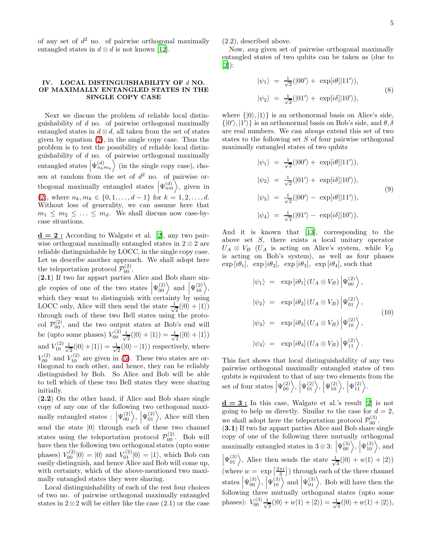of any set of  $d^2$  no. of pairwise orthogonal maximally entangled states in  $d \otimes d$  is not known [\[12\]](#page-8-11).

#### IV. LOCAL DISTINGUISHABILITY OF d NO. OF MAXIMALLY ENTANGLED STATES IN THE SINGLE COPY CASE

Next we discuss the problem of reliable local distinguishability of d no. of pairwise orthogonal maximally entangled states in  $d \otimes d$ , all taken from the set of states given by equation [\(2\)](#page-0-4), in the single copy case. Thus the problem is to test the possibility of reliable local distinguishability of  $d$  no. of pairwise orthogonal maximally entangled states  $\left|\Psi_{n_k m_k}^{(d)}\right\rangle$  (in the single copy case), chosen at random from the set of  $d^2$  no. of pairwise orthogonal maximally entangled states  $|\Psi_{nm}^{(d)}\rangle$ , given in [\(2\)](#page-0-4), where  $n_k, m_k \in \{0, 1, \ldots, d-1\}$  for  $k = 1, 2, \ldots, d$ . Without loss of generality, we can assume here that  $m_1 \leq m_2 \leq \ldots \leq m_d$ . We shall discuss now case-bycase situations.

 $d = 2$ : According to Walgate et al. [\[2](#page-8-1)], any two pairwise orthogonal maximally entangled states in  $2 \otimes 2$  are reliable distinguishable by LOCC, in the single copy case. Let us describe another approach. We shall adopt here the teleportation protocol  $\mathcal{P}_{00}^{(2)}$ .

(2.1) If two far appart parties Alice and Bob share single copies of one of the two states  $|\Psi_{00}^{(2)}\rangle$  and  $|\Psi_{10}^{(2)}\rangle$ , which they want to distinguish with certainty by using LOCC only, Alice will then send the state  $\frac{1}{\sqrt{2}}$  $\frac{1}{2}(|0\rangle + |1\rangle)$ through each of these two Bell states using the protocol  $\mathcal{P}_{00}^{(2)}$ , and the two output states at Bob's end will be (upto some phases)  $V_{00}^{(2)} \frac{1}{\sqrt{2}}$  $\frac{1}{2}(|0\rangle + |1\rangle) = \frac{1}{\sqrt{2}}$  $\frac{1}{2}(|0\rangle + |1\rangle)$ and  $V_{10}^{(2)} \frac{1}{\sqrt{2}}$  $\frac{1}{2}(|0\rangle+|1\rangle)=\frac{1}{\sqrt{2}}$  $\frac{1}{2}(|0\rangle - |1\rangle)$  respectively, where  $V_{00}^{(2)}$  and  $V_{10}^{(2)}$  are given in [\(5\)](#page-1-1). These two states are orthogonal to each other, and hence, they can be reliably distinguished by Bob. So Alice and Bob will be able to tell which of these two Bell states they were sharing initially.

(2.2) On the other hand, if Alice and Bob share single copy of any one of the following two orthogonal maximally entangled states :  $|\Psi_{00}^{(2)}\rangle$ ,  $|\Psi_{01}^{(2)}\rangle$ , Alice will then send the state  $|0\rangle$  through each of these two channel states using the teleportation protocol  $\mathcal{P}_{00}^{(2)}$ . Bob will have then the following two orthogonal states (upto some phases)  $V_{00}^{(2)}|0\rangle = |0\rangle$  and  $V_{01}^{(2)}|0\rangle = |1\rangle$ , which Bob can easily distinguish, and hence Alice and Bob will come up, with certainty, which of the above-mentioned two maximally entangled states they were sharing.

Local distinguishability of each of the rest four choices of two no. of pairwise orthogonal maximally entangled states in 2⊗2 will be either like the case (2.1) or the case

(2.2), described above.

Now, any given set of pairwise orthogonal maximally entangled states of two qubits can be taken as (due to [\[2\]](#page-8-1)):

$$
|\psi_1\rangle = \frac{1}{\sqrt{2}}(|00'\rangle + \exp[i\theta]|11'\rangle),
$$
  

$$
|\psi_2\rangle = \frac{1}{\sqrt{2}}(|01'\rangle + \exp[i\delta]|10'\rangle),
$$
 (8)

where  $\{|0\rangle, |1\rangle\}$  is an orthonormal basis on Alice's side,  $\{|0'\rangle, |1'\rangle\}$  is an orthonormal basis on Bob's side, and  $\theta, \delta$ are real numbers. We can always extend this set of two states to the following set  $S$  of four pairwise orthogonal maximally entangled states of two qubits

$$
|\psi_1\rangle = \frac{1}{\sqrt{2}}(|00'\rangle + \exp[i\theta]|11'\rangle),
$$
  
\n
$$
|\psi_2\rangle = \frac{1}{\sqrt{2}}(|01'\rangle + \exp[i\delta]|10'\rangle),
$$
  
\n
$$
|\psi_3\rangle = \frac{1}{\sqrt{2}}(|00'\rangle - \exp[i\theta]|11'\rangle),
$$
  
\n
$$
|\psi_4\rangle = \frac{1}{\sqrt{2}}(|01'\rangle - \exp[i\delta]|10'\rangle).
$$
\n(9)

And it is known that [\[13](#page-8-12)], corresponding to the above set S, there exists a local unitary operator  $U_A \otimes V_B$  ( $U_A$  is acting on Alice's system, while  $V_B$ is acting on Bob's system), as well as four phases  $\exp[i\theta_1], \exp[i\theta_2], \exp[i\theta_3], \exp[i\theta_4], \text{ such that}$ 

<span id="page-4-0"></span>
$$
|\psi_1\rangle = \exp[i\theta_1] (U_A \otimes V_B) |\Psi_{00}^{(2)}\rangle,
$$
  

$$
|\psi_2\rangle = \exp[i\theta_2] (U_A \otimes V_B) |\Psi_{01}^{(2)}\rangle,
$$
  

$$
|\psi_3\rangle = \exp[i\theta_3] (U_A \otimes V_B) |\Psi_{10}^{(2)}\rangle,
$$
  

$$
|\psi_4\rangle = \exp[i\theta_4] (U_A \otimes V_B) |\Psi_{11}^{(2)}\rangle.
$$
 (10)

This fact shows that local distinguishability of any two pairwise orthogonal maximally entangled states of two qubits is equivalent to that of any two elements from the set of four states  $|\Psi_{00}^{(2)}\rangle, |\Psi_{01}^{(2)}\rangle, |\Psi_{10}^{(2)}\rangle, |\Psi_{10}^{(2)}\rangle$ .

 $d = 3$ : In this case, Walgate et al.'s result [\[2\]](#page-8-1) is not going to help us directly. Similar to the case for  $d = 2$ , we shall adopt here the teleportation protocol  $\mathcal{P}_{00}^{(3)}$ . (3.1) If two far appart parties Alice and Bob share single copy of one of the following three mutually orthogonal maximally entangled states in  $3 \otimes 3$ :  $|\Psi_{00}^{(3)}\rangle$ ,  $|\Psi_{10}^{(3)}\rangle$ , and  $|\Psi_{01}^{(3)}\rangle$ , Alice then sends the state  $\frac{1}{\sqrt{2}}$ (where  $w = \exp\left[\frac{2\pi i}{3}\right]$ ) through each of the three channel  $\frac{1}{3}(|0\rangle + w|1\rangle + |2\rangle)$ states  $|\Psi_{00}^{(3)}\rangle$ ,  $|\Psi_{10}^{(3)}\rangle$  and  $|\Psi_{01}^{(3)}\rangle$ . Bob will have then the following three mutually orthogonal states (upto some phases):  $V_{00}^{(3)} \frac{1}{\sqrt{3}}$  $\frac{1}{3}(|0\rangle + w|1\rangle + |2\rangle) = \frac{1}{\sqrt{3}}$  $\frac{1}{3}(|0\rangle + w|1\rangle + |2\rangle),$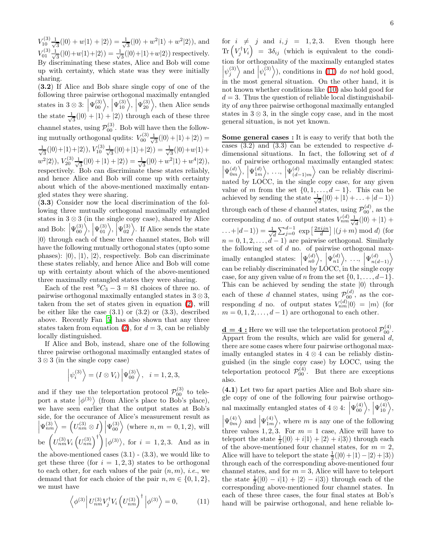$V_{10}^{(3)} \frac{1}{\sqrt{2}}$  $\frac{1}{3}(|0\rangle + w|1\rangle + |2\rangle) = \frac{1}{\sqrt{2}}$  $\frac{1}{3}(|0\rangle + w^2|1\rangle + w^2|2\rangle)$ , and  $V_{01}^{(3)}\frac{1}{\sqrt{2}}$  $\frac{1}{3}(|0\rangle + w|1\rangle + |2\rangle) = \frac{1}{\sqrt{2}}$  $\frac{1}{3}(|0\rangle+|1\rangle+w|2\rangle)$  respectively. By discriminating these states, Alice and Bob will come up with certainty, which state was they were initially sharing.

(3.2) If Alice and Bob share single copy of one of the following three pairwise orthogonal maximally entangled states in  $3 \otimes 3$ :  $\left|\Psi_{00}^{(3)}\right\rangle$ ,  $\left|\Psi_{10}^{(3)}\right\rangle$ ,  $\left|\Psi_{20}^{(3)}\right\rangle$ , then Alice sends the state  $\frac{1}{\sqrt{2}}$  $\frac{1}{3}(|0\rangle + |1\rangle + |2\rangle)$  through each of these three channel states, using  $\mathcal{P}_{00}^{(3)}$ . Bob will have then the following mutually orthogonal qudits:  $V_{00}^{(3)} \frac{1}{\sqrt{3}}$  $\frac{1}{3}(|0\rangle+|1\rangle+|2\rangle)=$ √ 1  $\frac{1}{3}(|0\rangle+|1\rangle+|2\rangle), V_{10}^{(3)}\frac{1}{\sqrt{3}}$  $\frac{1}{3}(|0\rangle+|1\rangle+|2\rangle)=\frac{1}{\sqrt{3}}$  $\frac{1}{3}(|0\rangle + w|1\rangle +$  $w^2|2\rangle)$ ,  $V_{20}^{(3)}\frac{1}{\sqrt{2}}$  $\frac{1}{3}(|0\rangle+|1\rangle+|2\rangle)=\frac{1}{\sqrt{2}}$  $\frac{1}{3}(|0\rangle + w^2|1\rangle + w^4|2\rangle),$ respectively. Bob can discriminate these states reliably, and hence Alice and Bob will come up with certainty about which of the above-mentioned maximally entangled states they were sharing.

(3.3) Consider now the local discrimination of the following three mutually orthogonal maximally entangled states in  $3 \otimes 3$  (in the single copy case), shared by Alice and Bob:  $|\Psi_{00}^{(3)}\rangle, |\Psi_{01}^{(3)}\rangle, |\Psi_{02}^{(3)}\rangle$ . If Alice sends the state  $|0\rangle$  through each of these three channel states, Bob will have the following mutually orthogonal states (upto some phases):  $|0\rangle$ ,  $|1\rangle$ ,  $|2\rangle$ , respectively. Bob can discriminate these states reliably, and hence Alice and Bob will come up with certainty about which of the above-mentioned three maximally entangled states they were sharing.

Each of the rest  ${}^{9}C_{3} - 3 = 81$  choices of three no. of pairwise orthogonal maximally entangled states in  $3 \otimes 3$ , taken from the set of states given in equation [\(2\)](#page-0-4), will be either like the case  $(3.1)$  or  $(3.2)$  or  $(3.3)$ , described above. Recently Fan [\[5](#page-8-4)] has also shown that any three states taken from equation [\(2\)](#page-0-4), for  $d = 3$ , can be reliably locally distinguished.

If Alice and Bob, instead, share one of the following three pairwise orthogonal maximally entangled states of  $3 \otimes 3$  (in the single copy case)

$$
\left|\psi_i^{(3)}\right\rangle = (I \otimes V_i) \left|\Psi_{00}^{(3)}\right\rangle, \quad i = 1, 2, 3,
$$

and if they use the teleportation protocol  $\mathcal{P}_{00}^{(3)}$  to teleport a state  $|\phi^{(3)}\rangle$  (from Alice's place to Bob's place), we have seen earlier that the output states at Bob's side, for the occurance of Alice's measurement result as  $\left|\Psi_{nm}^{(3)}\right\rangle = \left(U_{nm}^{(3)} \otimes I\right)\left|\Psi_{00}^{(3)}\right\rangle$  (where  $n, m = 0, 1, 2$ ), will be  $(U_{nm}^{(3)}V_i(U_{nm}^{(3)})^{\dagger}) |\phi^{(3)}\rangle$ , for  $i = 1, 2, 3$ . And as in the above-mentioned cases  $(3.1)$  -  $(3.3)$ , we would like to get these three (for  $i = 1, 2, 3$ ) states to be orthogonal to each other, for each values of the pair  $(n, m)$ , *i.e.*, we demand that for each choice of the pair  $n, m \in \{0, 1, 2\}$ , we must have

<span id="page-5-0"></span>
$$
\left\langle \phi^{(3)} \right| U_{nm}^{(3)} V_j^{\dagger} V_i \left( U_{nm}^{(3)} \right)^{\dagger} \left| \phi^{(3)} \right\rangle = 0, \tag{11}
$$

for  $i \neq j$  and  $i, j = 1, 2, 3$ . Even though here  $\text{Tr}\left(V_{j}^{\dagger}V_{i}\right) = 3\delta_{ij}$  (which is equivalent to the condition for orthogonality of the maximally entangled states  $\left|\psi_j^{(3)}\right\rangle$  and  $\left|\psi_i^{(3)}\right\rangle$ ), conditions in [\(11\)](#page-5-0) *do not* hold good, in the most general situation. On the other hand, it is not known whether conditions like [\(10\)](#page-4-0) also hold good for  $d = 3$ . Thus the question of reliable local distinguishability of any three pairwise orthogonal maximally entangled states in  $3 \otimes 3$ , in the single copy case, and in the most general situation, is not yet known.

Some general cases : It is easy to verify that both the cases  $(3.2)$  and  $(3.3)$  can be extended to respective ddimensional situations. In fact, the following set of d no. of pairwise orthogonal maximally entangled states:  $\left|\Psi_{0m}^{(d)}\right\rangle\!,\,\left|\Psi_{1m}^{(d)}\right\rangle\!,\,\,...,\,\left|\Psi_{(d-1)}^{(d)}\right\rangle\!\!\!$  $\begin{bmatrix} 0 & m & m \\ 1 & m & m \end{bmatrix}$  (a-1)m/<br>nated by LOCC, in the single copy case, for any given  $(d-1)m$  $\rangle$  can be reliably discrimivalue of m from the set  $\{0, 1, \ldots, d-1\}$ . This can be achieved by sending the state  $\frac{1}{\sqrt{2}}$  $\frac{d}{d}(|0\rangle+|1\rangle+\ldots+|d-1\rangle)$ through each of these d channel states, using  $\mathcal{P}_{00}^{(d)}$ , as the corresponding d no. of output states  $V_{nm}^{(d)}$   $\frac{1}{\sqrt{2}}$  $\frac{1}{d}(|0\rangle + |1\rangle +$  $\dots + |d-1\rangle) = \frac{1}{\sqrt{2}}$  $\frac{1}{d} \sum_{j=0}^{d-1} \exp\left[\frac{2\pi i j n}{d}\right] |(j+m) \bmod d\rangle$  (for  $n = 0, 1, 2, \ldots, d - 1$  are pairwise orthogonal. Similarly the following set of  $d$  no. of pairwise orthogonal maximally entangled states:  $\left|\Psi_{n0}^{(d)}\right\rangle, \left|\Psi_{n1}^{(d)}\right\rangle, \ldots, \left|\Psi_{n(d-1)}^{(d)}\right\rangle$ can be reliably discriminated by LOCC, in the single copy case, for any given value of n from the set  $\{0, 1, \ldots, d-1\}$ . This can be achieved by sending the state  $|0\rangle$  through each of these d channel states, using  $\mathcal{P}_{00}^{(d)}$ , as the corresponding d no. of output states  $V_{nm}^{(d)}|0\rangle = |m\rangle$  (for  $m = 0, 1, 2, \ldots, d - 1$  are orthogonal to each other.

 $\underline{\mathbf{d}} = 4$ : Here we will use the teleportation protocol  $\mathcal{P}_{00}^{(4)}$ . Appart from the results, which are valid for general d, there are some cases where four pairwise orthogonal maximally entangled states in  $4 \otimes 4$  can be reliably distinguished (in the single copy case) by LOCC, using the teleportation protocol  $\mathcal{P}_{00}^{(4)}$ . But there are exceptions also.

(4.1) Let two far apart parties Alice and Bob share single copy of one of the following four pairwise orthogonal maximally entangled states of  $4 \otimes 4$ :  $|\Psi_{00}^{(4)}\rangle$ ,  $|\Psi_{10}^{(4)}\rangle$ ,  $|\Psi_{0m}^{(4)}\rangle$  and  $|\Psi_{1m}^{(4)}\rangle$ , where m is any one of the following three values 1, 2, 3. For  $m = 1$  case, Alice will have to teleport the state  $\frac{1}{2}(|0\rangle + i|1\rangle + |2\rangle + i|3\rangle)$  through each of the above-mentioned four channel states, for  $m = 2$ , Alice will have to teleport the state  $\frac{1}{2}(|0\rangle + |1\rangle - |2\rangle + |3\rangle)$ through each of the corresponding above-mentioned four channel states, and for  $m = 3$ , Alice will have to teleport the state  $\frac{1}{2}(|0\rangle - i|1\rangle + |2\rangle - i|3\rangle)$  through each of the corresponding above-mentioned four channel states. In each of these three cases, the four final states at Bob's hand will be pairwise orthogonal, and hene reliable lo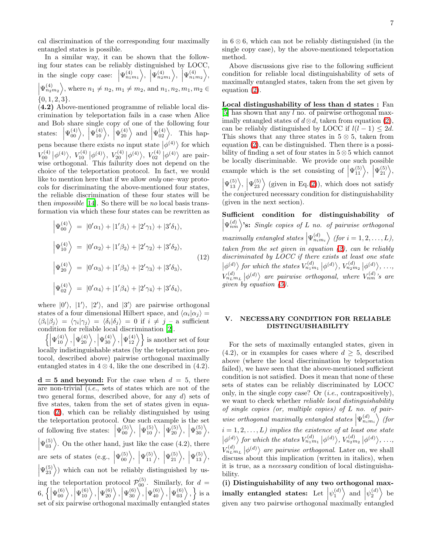cal discrimination of the corresponding four maximally entangled states is possible.

In a similar way, it can be shown that the following four states can be reliably distinguished by LOCC, in the single copy case:  $|\Psi_{n_1m_1}^{(4)}\rangle, |\Psi_{n_2m_1}^{(4)}\rangle, |\Psi_{n_1m_2}^{(4)}\rangle,$  $\left|\Psi_{n_{2}m_{2}}^{(4)}\right\rangle$ , where  $n_{1} \neq n_{2}$ ,  $m_{1} \neq m_{2}$ , and  $n_{1}, n_{2}, m_{1}, m_{2} \in$  $\{0, 1, 2, 3\}.$ 

(4.2) Above-mentioned programme of reliable local discrimination by teleportation fails in a case when Alice and Bob share single copy of one of the following four states:  $|\Psi_{00}^{(4)}\rangle$ ,  $|\Psi_{10}^{(4)}\rangle$ ,  $|\Psi_{20}^{(4)}\rangle$  and  $|\Psi_{02}^{(4)}\rangle$ . This happens because there exists *no* input state  $|\phi^{(4)}\rangle$  for which  $V_{00}^{(4)} | \phi^{(4)} \rangle$ ,  $V_{10}^{(4)} | \phi^{(4)} \rangle$ ,  $V_{20}^{(4)} | \phi^{(4)} \rangle$ ,  $V_{92}^{(4)} | \phi^{(4)} \rangle$  are pairwise orthogonal. This failurity does not depend on the choice of the teleportation protocol. In fact, we would like to mention here that if we allow only one–way protocols for discriminating the above-mentioned four states, the reliable discrimination of these four states will be then *impossible* [\[14](#page-8-13)]. So there will be no local basis transformation via which these four states can be rewritten as

$$
\left| \Psi_{00}^{(4)} \right\rangle = |0'\alpha_1\rangle + |1'\beta_1\rangle + |2'\gamma_1\rangle + |3'\delta_1\rangle,
$$
  
\n
$$
\left| \Psi_{10}^{(4)} \right\rangle = |0'\alpha_2\rangle + |1'\beta_2\rangle + |2'\gamma_2\rangle + |3'\delta_2\rangle,
$$
  
\n
$$
\left| \Psi_{20}^{(4)} \right\rangle = |0'\alpha_3\rangle + |1'\beta_3\rangle + |2'\gamma_3\rangle + |3'\delta_3\rangle,
$$
  
\n
$$
\left| \Psi_{02}^{(4)} \right\rangle = |0'\alpha_4\rangle + |1'\beta_4\rangle + |2'\gamma_4\rangle + |3'\delta_4\rangle,
$$
  
\n(12)

where  $|0'\rangle$ ,  $|1'\rangle$ ,  $|2'\rangle$ , and  $|3'\rangle$  are pairwise orthogonal states of a four dimensional Hilbert space, and  $\langle \alpha_i | \alpha_j \rangle =$  $\langle \beta_i | \beta_j \rangle = \langle \gamma_i | \gamma_j \rangle = \langle \delta_i | \delta_j \rangle = 0$  if  $i \neq j$  – a sufficient condition for reliable local discrimination [\[2\]](#page-8-1).

 $\left\{ \left| \Psi_{10}^{(4)} \right\rangle, \left| \Psi_{20}^{(4)} \right\rangle, \left| \Psi_{30}^{(4)} \right\rangle, \left| \Psi_{12}^{(4)} \right\rangle \right\}$  is another set of four locally indistinguishable states (by the teleportation protocol, described above) pairwise orthogonal maximally entangled states in  $4 \otimes 4$ , like the one described in  $(4.2)$ .

 $d = 5$  and beyond: For the case when  $d = 5$ , there are non-trivial  $(i.e.,$  sets of states which are not of the two general forms, described above, for any d) sets of five states, taken from the set of states given in equation [\(2\)](#page-0-4), which can be reliably distinguished by using the teleportation protocol. One such example is the set of following five states:  $|\Psi_{00}^{(5)}\rangle, |\Psi_{10}^{(5)}\rangle, |\Psi_{20}^{(5)}\rangle, |\Psi_{30}^{(5)}\rangle,$  $|\Psi_{03}^{(5)}\rangle$ . On the other hand, just like the case (4.2), there  $\overline{\phantom{a}}$ are sets of states (e.g.,  $|\Psi_{00}^{(5)}\rangle$ ,  $|\Psi_{11}^{(5)}\rangle$ ,  $|\Psi_{21}^{(5)}\rangle$ ,  $|\Psi_{13}^{(5)}\rangle$ ,  $|\Psi_{23}^{(5)}\rangle$ ) which can not be reliably distinguished by us- $\mid$ ing the teleportation protocol  $\mathcal{P}_{00}^{(5)}$ . Similarly, for  $d =$  $6, \left\{ \left| \Psi_{00}^{(6)} \right\rangle, \left| \Psi_{10}^{(6)} \right\rangle, \left| \Psi_{20}^{(6)} \right\rangle, \left| \Psi_{30}^{(6)} \right\rangle, \left| \Psi_{40}^{(6)} \right\rangle, \left| \Psi_{03}^{(6)} \right\rangle, \right\}$  is a set of six pairwise orthogonal maximally entangled states

in 6 ⊗ 6, which can not be reliably distinguished (in the single copy case), by the above-mentioned teleportation method.

Above discussions give rise to the following sufficient condition for reliable local distinguishability of sets of maximally entangled states, taken from the set given by equation [\(2\)](#page-0-4).

Local distingushability of less than d states : Fan [\[5\]](#page-8-4) has shown that any l no. of pairwise orthogonal maximally entangled states of  $d \otimes d$ , taken from equation [\(2\)](#page-0-4), can be reliably distinguished by LOCC if  $l(l-1) \leq 2d$ . This shows that any three states in  $5 \otimes 5$ , taken from equation [\(2\)](#page-0-4), can be distinguished. Then there is a possibility of finding a set of four states in 5 ⊗ 5 which cannot be locally discriminable. We provide one such possible example which is the set consisting of  $|\Psi_{11}^{(5)}\rangle, |\Psi_{21}^{(5)}\rangle,$  $\left|\Psi_{13}^{(5)}\right\rangle, \left|\Psi_{23}^{(5)}\right\rangle$  (given in Eq.[\(2\)](#page-0-4)), which does not satisfy the conjectured necessary condition for distinguishability (given in the next section).

Sufficient condition for distinguishability of  $\left|\Psi_{nm}^{(d)}\right\rangle$ 's: Single copies of L no. of pairwise orthogonal  $\overline{\phantom{a}}$ maximally entangled states  $\left|\Psi_{n_{i}m_{i}}^{(d)}\right\rangle$  (for  $i=1,2,\ldots,L$ ), taken from the set given in equation  $(2)$ , can be reliably discriminated by LOCC if there exists at least one state  $\vert \phi^{(d)} \rangle$  for which the states  $V_{n_1m_1}^{(d)} \vert \phi^{(d)} \rangle$ ,  $V_{n_2m_2}^{(d)} \vert \phi^{(d)} \rangle$ , ...,  $V_{n_L,m_L}^{(d)}\left|\phi^{(d)}\right\rangle$  are pairwise orthogonal, where  $V_{n_m}^{(d)}$ 's are given by equation [\(5\)](#page-1-1).

## V. NECESSARY CONDITION FOR RELIABLE DISTINGUISHABILITY

For the sets of maximally entangled states, given in  $(4.2)$ , or in examples for cases where  $d \geq 5$ , described above (where the local discrimination by teleportation failed), we have seen that the above-mentioned sufficient condition is not satisfied. Does it mean that none of these sets of states can be reliably discriminated by LOCC only, in the single copy case? Or  $(i.e.,$  contrapositively), we want to check whether *reliable local distinguishability* of single copies (or, multiple copies) of L no. of pairwise orthogonal maximally entangled states  $\left|\Psi_{n_{i}m_{i}}^{(d)}\right\rangle$  (for  $i = 1, 2, \ldots, L$ ) implies the existence of at least one state  $\vert \phi^{(d)} \rangle$  for which the states  $V_{n_1m_1}^{(d)} \vert \phi^{(d)} \rangle$ ,  $V_{n_2m_2}^{(d)} \vert \phi^{(d)} \rangle$ , ...,  $V_{1L}^{(d)}$   $\vert \phi^{(d)} \rangle$  are pairwise orthogonal. Later on, we shall discuss about this implication (written in italics), when it is true, as a necessary condition of local distinguishability.

(i) Distinguishability of any two orthogonal maximally entangled states: Let  $|\psi_1^{(d)}\rangle$  and  $|\psi_2^{(d)}\rangle$  be given any two pairwise orthogonal maximally entangled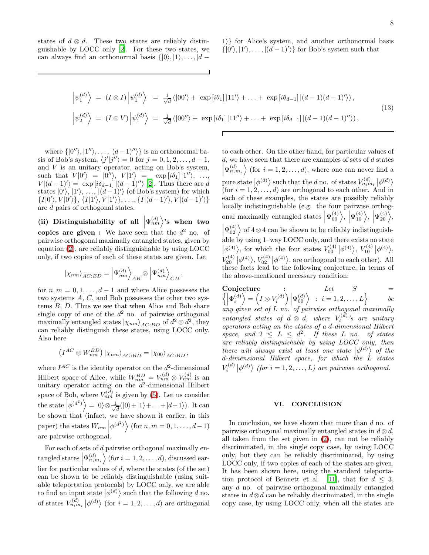states of  $d \otimes d$ . These two states are reliably distinguishable by LOCC only [\[2\]](#page-8-1). For these two states, we can always find an orthonormal basis  $\{|0\rangle, |1\rangle, \ldots, |d -$ 

$$
\left|\psi_1^{(d)}\right\rangle = (I \otimes I)\left|\psi_1^{(d)}\right\rangle = \frac{1}{\sqrt{d}}(|00'\rangle + \exp[i\theta_1]|11'\rangle + \dots + \exp[i\theta_{d-1}||(d-1)(d-1)')\rangle, \n\left|\psi_2^{(d)}\right\rangle = (I \otimes V)\left|\psi_1^{(d)}\right\rangle = \frac{1}{\sqrt{d}}(|00''\rangle + \exp[i\delta_1]|11''\rangle + \dots + \exp[i\delta_{d-1}||(d-1)(d-1)''\rangle),
$$
\n(13)

where  $\{|0''\rangle, |1''\rangle, \ldots, |(d-1)''\rangle\}$  is an orthonormal basis of Bob's system,  $\langle j'|j''\rangle = 0$  for  $j = 0, 1, 2, ..., d - 1$ , and  $V$  is an unitary operator, acting on Bob's system, such that  $V|0'\rangle = |0''\rangle$ ,  $V|1'\rangle = \exp[i\delta_1]|1''\rangle$ , ...  $V|(d-1)'\rangle = \exp[i\delta_{d-1}]/(d-1)''\rangle$  [\[2\]](#page-8-1). Thus there are d states  $|0'\rangle$ ,  $|1'\rangle$ , ...,  $|(d-1)'\rangle$  (of Bob's system) for which  $\{I|0'\rangle, V|0'\rangle\}, \{I|1'\rangle, V|1'\rangle\}, \ldots, \{I|(d-1)'\rangle, V|(d-1)'\rangle\}$ are d pairs of orthogonal states.

(ii) Distinguishability of all  $|\Psi_{nm}^{(d)}\rangle$ 's when two copies are given: We have seen that the  $d^2$  no. of pairwise orthogonal maximally entangled states, given by equation [\(2\)](#page-0-4), are reliably distinguishable by using LOCC only, if two copies of each of these states are given. Let

$$
\left|\chi_{nm}\right\rangle_{AC:BD}=\left|\Psi_{nm}^{(d)}\right\rangle_{AB}\otimes\left|\Psi_{nm}^{(d)}\right\rangle_{CD},
$$

for  $n, m = 0, 1, \ldots, d-1$  and where Alice possesses the two systems A, C, and Bob possesses the other two systems  $B$ ,  $D$ . Thus we see that when Alice and Bob share single copy of one of the  $d^2$  no. of pairwise orthogonal maximally entangled states  $|\chi_{nm}\rangle_{AC:BD}$  of  $d^2 \otimes d^2$ , they can reliably distinguish these states, using LOCC only. Also here

$$
(I^{AC} \otimes W^{BD}_{nm}) \vert \chi_{nm} \rangle_{AC:BD} = \vert \chi_{00} \rangle_{AC:BD},
$$

where  $I^{AC}$  is the identity operator on the  $d^2$ -dimensional Hilbert space of Alice, while  $W_{nm_{\alpha}}^{BD} = V_{nm}^{(d)} \otimes V_{nm}^{(d)}$  is an unitary operator acting on the  $d^2$ -dimensional Hilbert space of Bob, where  $V_{nm}^{(d)}$  is given by [\(5\)](#page-1-1). Let us consider the state  $\left|\phi^{(d^2)}\right\rangle = |0\rangle \otimes \frac{1}{\sqrt{2}}$  $\frac{1}{d}(|0\rangle+|1\rangle+\ldots+|d-1\rangle)$ . It can be shown that (infact, we have shown it earlier, in this paper) the states  $W_{nm}$  $\left|\phi^{(d^2)}\right\rangle$  (for  $n, m = 0, 1, ..., d-1$ ) are pairwise orthogonal.

For each of sets of d pairwise orthogonal maximally entangled states  $\left|\Psi_{n_{i}m_{i}}^{(d)}\right\rangle$  (for  $i=1,2,\ldots,d$ ), discussed earlier for particular values of  $d$ , where the states (of the set) can be shown to be reliably distinguishable (using suitable teleportation protocols) by LOCC only, we are able to find an input state  $|\phi^{(d)}\rangle$  such that the following d no. of states  $V_{n_i m_i}^{(d)} \big| \phi^{(d)} \big\rangle$  (for  $i = 1, 2, ..., d$ ) are orthogonal

to each other. On the other hand, for particular values of  $d$ , we have seen that there are examples of sets of  $d$  states  $\left|\Psi_{n_{i}m_{i}}^{(d)}\right\rangle$  (for  $i=1,2,\ldots,d$ ), where one can never find a  $\overline{\phantom{a}}$ pure state  $|\phi^{(d)}\rangle$  such that the d no. of states  $V_{n,m_i}^{(d)}|\phi^{(d)}\rangle$ (for  $i = 1, 2, \ldots, d$ ) are orthogonal to each other. And in each of these examples, the states are possibly reliably locally indistinguishable (e.g. the four pairwise orthogonal maximally entangled states  $|\Psi_{00}^{(4)}\rangle, |\Psi_{10}^{(4)}\rangle, |\Psi_{20}^{(4)}\rangle,$  $|\Psi_{02}^{(4)}\rangle$  of 4⊗4 can be shown to be reliably indistinguishable by using 1–way LOCC only, and there exists no state  $|\phi^{(4)}\rangle$ , for which the four states  $V_{00}^{(4)}|\phi^{(4)}\rangle$ ,  $V_{10}^{(4)}|\phi^{(4)}\rangle$ ,  $V_{20}^{(4)} | \phi^{(4)} \rangle$ ,  $V_{02}^{(4)} | \phi^{(4)} \rangle$ , are orthogonal to each other). All these facts lead to the following conjecture, in terms of the above-mentioned necessary condition:

Conjecture :  $\int$ Let  $S =$  $\left|\Phi_i^{(d)}\right\rangle = \left(I \otimes V_i^{(d)}\right)\left|\Psi_{00}^{(d)}\right\rangle \; : \; i = 1, 2, \ldots, L\right\}$  be any given set of L no. of pairwise orthogonal maximally entangled states of  $d \otimes d$ , where  $V_i^{(d)}$ 's are unitary operators acting on the states of a d-dimensional Hilbert space, and  $2 \leq L \leq d^2$ . If these L no. of states are reliably distinguishable by using LOCC only, then there will always exist at least one state  $|\phi^{(d)}\rangle$  of the  $d$ -dimensional Hilbert space, for which the  $\dot{L}$  states  $V_i^{(d)}\left|\phi^{(d)}\right\rangle$  (for  $i=1,2,\ldots,L$ ) are pairwise orthogonal.

#### VI. CONCLUSION

In conclusion, we have shown that more than d no. of pairwise orthogonal maximally entangled states in  $d \otimes d$ , all taken from the set given in [\(2\)](#page-0-4), can not be reliably discriminated, in the single copy case, by using LOCC only, but they can be reliably discriminated, by using LOCC only, if two copies of each of the states are given. It has been shown here, using the standard teleporta-tion protocol of Bennett et al. [\[11\]](#page-8-5), that for  $d \leq 3$ , any d no. of pairwise orthogonal maximally entangled states in  $d \otimes d$  can be reliably discriminated, in the single copy case, by using LOCC only, when all the states are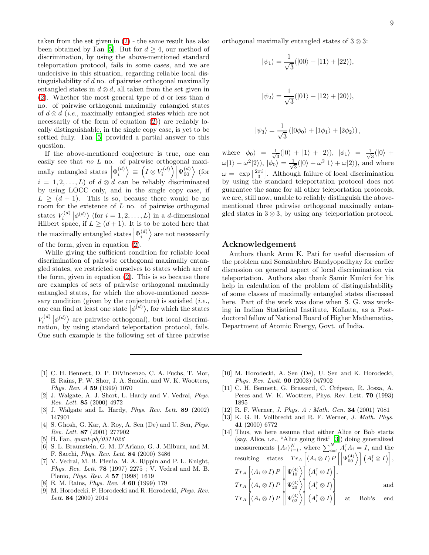taken from the set given in [\(2\)](#page-0-4) - the same result has also been obtained by Fan [\[5](#page-8-4)]. But for  $d \geq 4$ , our method of discrimination, by using the above-mentioned standard teleportation protocol, fails in some cases, and we are undecisive in this situation, regarding reliable local distinguishability of  $d$  no. of pairwise orthogonal maximally entangled states in  $d \otimes d$ , all taken from the set given in  $(2)$ . Whether the most general type of d or less than d no. of pairwise orthogonal maximally entangled states of  $d \otimes d$  (*i.e.*, maximally entangled states which are not necessarily of the form of equation  $(2)$  are reliably locally distinguishable, in the single copy case, is yet to be settled fully. Fan [\[5](#page-8-4)] provided a partial answer to this question.

If the above-mentioned conjecture is true, one can easily see that no L no. of pairwise orthogonal maximally entangled states  $\left|\Phi_i^{(d)}\right\rangle \equiv \left(I \otimes V_i^{(d)}\right)\left|\Psi_{00}^{(d)}\right\rangle$  (for  $i = 1, 2, \ldots, L$  of  $d \otimes d$  can be reliably discriminated by using LOCC only, and in the single copy case, if  $L \geq (d + 1)$ . This is so, because there would be no room for the existence of  $L$  no. of pairwise orthogonal states  $V_i^{(d)} | \phi^{(d)} \rangle$  (for  $i = 1, 2, ..., L$ ) in a d-dimensional Hilbert space, if  $L \geq (d+1)$ . It is to be noted here that the maximally entangled states  $\left|\Phi_i^{(d)}\right\rangle$  are not necessarily of the form, given in equation  $(2)$ .

While giving the sufficient condition for reliable local discrimination of pairwise orthogonal maximally entangled states, we restricted ourselves to states which are of the form, given in equation [\(2\)](#page-0-4). This is so because there are examples of sets of pairwise orthogonal maximally entangled states, for which the above-mentioned necessary condition (given by the conjecture) is satisfied  $(i.e.,$ one can find at least one state  $|\phi^{(d)}\rangle$ , for which the states  $V_i^{(d)} | \phi^{(d)} \rangle$  are pairwise orthogonal), but local discrimination, by using standard teleportation protocol, fails. One such example is the following set of three pairwise

orthogonal maximally entangled states of 3 ⊗ 3:

$$
|\psi_1\rangle = \frac{1}{\sqrt{3}}(|00\rangle + |11\rangle + |22\rangle),
$$
  

$$
|\psi_2\rangle = \frac{1}{\sqrt{3}}(|01\rangle + |12\rangle + |20\rangle),
$$

$$
|\psi_3\rangle = \frac{1}{\sqrt{3}} (|0\phi_0\rangle + |1\phi_1\rangle + |2\phi_2\rangle),
$$

where  $|\phi_0\rangle = \frac{1}{\sqrt{2}}$  $\frac{1}{3}(|0\rangle + |1\rangle + |2\rangle), \ |\phi_1\rangle = \frac{1}{\sqrt{3}}$  $\frac{1}{3}(|0\rangle +$  $\omega |1\rangle + \omega^2 |2\rangle), \, |\phi_0\rangle = \frac{1}{\sqrt{2}}$  $\frac{1}{3}(|0\rangle + \omega^2|1\rangle + \omega|2\rangle)$ , and where  $\omega = \exp\left[\frac{2\pi i}{3}\right]$ . Although failure of local discrimination by using the standard teleportation protocol does not guarantee the same for all other teleportation protocols, we are, still now, unable to reliably distinguish the abovementioned three pairwise orthogonal maximally entangled states in  $3 \otimes 3$ , by using any teleportation protocol.

## Acknowledgement

Authors thank Arun K. Pati for useful discussion of the problem and Somshubhro Bandyopadhyay for earlier discussion on general aspect of local discrimination via teleportation. Authors also thank Samir Kunkri for his help in calculation of the problem of distinguishability of some classes of maximally entangled states discussed here. Part of the work was done when S. G. was working in Indian Statistical Institute, Kolkata, as a Postdoctoral fellow of National Board of Higher Mathematics, Department of Atomic Energy, Govt. of India.

- <span id="page-8-0"></span>[1] C. H. Bennett, D. P. DiVincenzo, C. A. Fuchs, T. Mor, E. Rains, P. W. Shor, J. A. Smolin, and W. K. Wootters, *Phys. Rev. A* 59 (1999) 1070
- <span id="page-8-1"></span>[2] J. Walgate, A. J. Short, L. Hardy and V. Vedral, *Phys. Rev. Lett.* 85 (2000) 4972
- <span id="page-8-2"></span>[3] J. Walgate and L. Hardy, *Phys. Rev. Lett.* 89 (2002) 147901
- <span id="page-8-3"></span>[4] S. Ghosh, G. Kar, A. Roy, A. Sen (De) and U. Sen, *Phys. Rev. Lett.* 87 (2001) 277902
- <span id="page-8-4"></span>[5] H. Fan, *quant-ph/0311026*
- <span id="page-8-6"></span>[6] S. L. Braunstein, G. M. D'Ariano, G. J. Milburn, and M. F. Sacchi, *Phys. Rev. Lett.* 84 (2000) 3486
- <span id="page-8-7"></span>[7] V. Vedral, M. B. Plenio, M. A. Rippin and P. L. Knight, *Phys. Rev. Lett.* 78 (1997) 2275 ; V. Vedral and M. B. Plenio, *Phys. Rev. A* 57 (1998) 1619
- <span id="page-8-8"></span>[8] E. M. Rains, *Phys. Rev. A* 60 (1999) 179
- <span id="page-8-9"></span>[9] M. Horodecki, P. Horodecki and R. Horodecki, *Phys. Rev. Lett.* 84 (2000) 2014
- <span id="page-8-10"></span>[10] M. Horodecki, A. Sen (De), U. Sen and K. Horodecki, *Phys. Rev. Lwtt.* 90 (2003) 047902
- <span id="page-8-5"></span>[11] C. H. Bennett, G. Brassard, C. Crépeau, R. Josza, A. Peres and W. K. Wootters, Phys. Rev. Lett. 70 (1993) 1895
- <span id="page-8-11"></span>[12] R. F. Werner, *J. Phys. A : Math. Gen.* 34 (2001) 7081
- <span id="page-8-12"></span>[13] K. G. H. Vollbrecht and R. F. Werner, *J. Math. Phys.* 41 (2000) 6772
- <span id="page-8-13"></span>[14] Thus, we here assume that either Alice or Bob starts (say, Alice, ı.e., "Alice going first" [\[3](#page-8-2)]) doing generalized measurements  $\{A_i\}_{i=1}^N$ , where  $\sum_{i=1}^N A_i^{\dagger} A_i = I$ , and the resulting states  $Tr_A \left[ (A_i \otimes I) P \left[ \left| \Psi_{00}^{(4)} \right\rangle \right] \left( A_i^{\dagger} \otimes I \right) \right],$  $Tr_{A}\left[\left(A_{i}\otimes I\right)P\left[\left|\Psi_{10}^{(4)}\right\rangle \right]\left(A_{i}^{\dagger}\otimes I\right)\right],$  $Tr_A \left[ (A_i \otimes I) P \left[ \left| \Psi_{20}^{(4)} \right\rangle \right] \left( A_i^{\dagger} \otimes I \right) \right]$  and  $Tr_A \left[ (A_i \otimes I) P \left[ \left| \Psi_{02}^{(4)} \right\rangle \right] \left( A_i^{\dagger} \otimes I \right) \right]$  at Bob's end